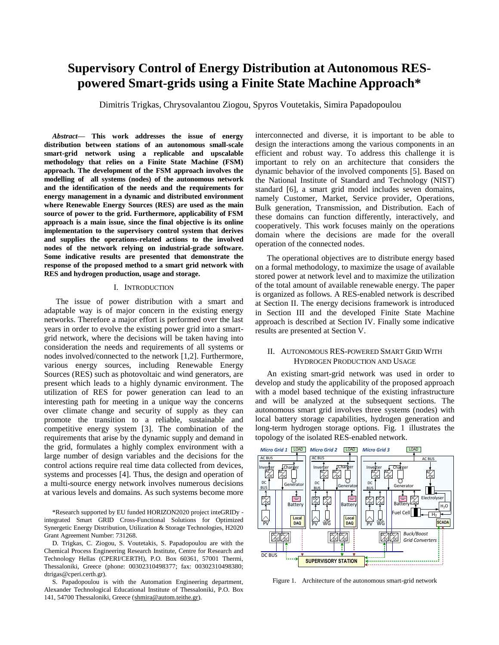# **Supervisory Control of Energy Distribution at Autonomous RESpowered Smart-grids using a Finite State Machine Approach\***

Dimitris Trigkas, Chrysovalantou Ziogou, Spyros Voutetakis, Simira Papadopoulou

*Abstract***— This work addresses the issue of energy distribution between stations of an autonomous small-scale smart-grid network using a replicable and upscalable methodology that relies on a Finite State Machine (FSM) approach. The development of the FSM approach involves the modelling of all systems (nodes) of the autonomous network and the identification of the needs and the requirements for energy management in a dynamic and distributed environment where Renewable Energy Sources (RES) are used as the main source of power to the grid. Furthermore, applicability of FSM approach is a main issue, since the final objective is its online implementation to the supervisory control system that derives and supplies the operations-related actions to the involved nodes of the network relying on industrial-grade software. Some indicative results are presented that demonstrate the response of the proposed method to a smart grid network with RES and hydrogen production, usage and storage.**

#### I. INTRODUCTION

The issue of power distribution with a smart and adaptable way is of major concern in the existing energy networks. Therefore a major effort is performed over the last years in order to evolve the existing power grid into a smartgrid network, where the decisions will be taken having into consideration the needs and requirements of all systems or nodes involved/connected to the network [1,2]. Furthermore, various energy sources, including Renewable Energy Sources (RES) such as photovoltaic and wind generators, are present which leads to a highly dynamic environment. The utilization of RES for power generation can lead to an interesting path for meeting in a unique way the concerns over climate change and security of supply as they can promote the transition to a reliable, sustainable and competitive energy system [3]. The combination of the requirements that arise by the dynamic supply and demand in the grid, formulates a highly complex environment with a large number of design variables and the decisions for the control actions require real time data collected from devices, systems and processes [4]. Thus, the design and operation of a multi-source energy network involves numerous decisions at various levels and domains. As such systems become more

\*Research supported by EU funded HORIZON2020 project inteGRIDy integrated Smart GRID Cross-Functional Solutions for Optimized Synergetic Energy Distribution, Utilization & Storage Technologies, H2020 Grant Agreement Number: 731268.

D. Trigkas, C. Ziogou, S. Voutetakis, S. Papadopoulou are with the Chemical Process Engineering Research Institute, Centre for Research and Technology Hellas (CPERI/CERTH), P.O. Box 60361, 57001 Thermi, Thessaloniki, Greece (phone: 00302310498377; fax: 00302310498380; dtrigas@cperi.certh.gr).

S. Papadopoulou is with the Automation Engineering department, Alexander Technological Educational Institute of Thessaloniki, P.O. Box 141, 54700 Thessaloniki, Greece [\(shmira@autom.teithe.gr\)](mailto:shmira@autom.teithe.gr).

interconnected and diverse, it is important to be able to design the interactions among the various components in an efficient and robust way. To address this challenge it is important to rely on an architecture that considers the dynamic behavior of the involved components [5]. Based on the National Institute of Standard and Technology (NIST) standard [6], a smart grid model includes seven domains, namely Customer, Market, Service provider, Operations, Bulk generation, Transmission, and Distribution. Each of these domains can function differently, interactively, and cooperatively. This work focuses mainly on the operations domain where the decisions are made for the overall operation of the connected nodes.

The operational objectives are to distribute energy based on a formal methodology, to maximize the usage of available stored power at network level and to maximize the utilization of the total amount of available renewable energy. The paper is organized as follows. A RES-enabled network is described at Section II. The energy decisions framework is introduced in Section III and the developed Finite State Machine approach is described at Section IV. Finally some indicative results are presented at Section V.

### II. AUTONOMOUS RES-POWERED SMART GRID WITH HYDROGEN PRODUCTION AND USAGE

An existing smart-grid network was used in order to develop and study the applicability of the proposed approach with a model based technique of the existing infrastructure and will be analyzed at the subsequent sections. The autonomous smart grid involves three systems (nodes) with local battery storage capabilities, hydrogen generation and long-term hydrogen storage options. Fig. 1 illustrates the topology of the isolated RES-enabled network.



Figure 1. Architecture of the autonomous smart-grid network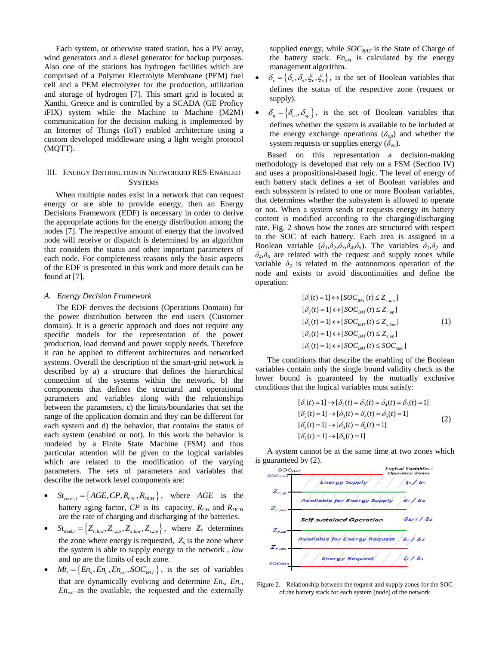Each system, or otherwise stated station, has a PV array, wind generators and a diesel generator for backup purposes. Also one of the stations has hydrogen facilities which are comprised of a Polymer Electrolyte Membrane (PEM) fuel cell and a PEM electrolyzer for the production, utilization and storage of hydrogen [7]. This smart grid is located at Xanthi, Greece and is controlled by a SCADA (GE Proficy iFIX) system while the Machine to Machine (M2M) communication for the decision making is implemented by an Internet of Things (IoT) enabled architecture using a custom developed middleware using a light weight protocol (MQTT).

## III. ENERGY DISTRIBUTION IN NETWORKED RES-ENABLED **SYSTEMS**

When multiple nodes exist in a network that can request energy or are able to provide energy, then an Energy Decisions Framework (EDF) is necessary in order to derive the appropriate actions for the energy distribution among the nodes [7]. The respective amount of energy that the involved node will receive or dispatch is determined by an algorithm that considers the status and other important parameters of each node. For completeness reasons only the basic aspects of the EDF is presented in this work and more details can be found at [7].

#### *A. Energy Decision Framework*

The EDF derives the decisions (Operations Domain) for the power distribution between the end users (Customer domain). It is a generic approach and does not require any specific models for the representation of the power production, load demand and power supply needs. Therefore it can be applied to different architectures and networked systems. Overall the description of the smart-grid network is described by a) a structure that defines the hierarchical connection of the systems within the network, b) the components that defines the structural and operational parameters and variables along with the relationships between the parameters, c) the limits/boundaries that set the range of the application domain and they can be different for each system and d) the behavior, that contains the status of each system (enabled or not). In this work the behavior is modeled by a Finite State Machine (FSM) and thus particular attention will be given to the logical variables which are related to the modification of the varying parameters. The sets of parameters and variables that describe the network level components are:

- $St_{const,i} = \{AGE, CP, R_{CH}, R_{DCH}\}\,$ , where *AGE* is the battery aging factor, *CP* is its capacity, *RCH* and *RDCH* are the rate of charging and discharging of the batteries.
- $St_{\text{mod},i} = \{Z_{r,low}, Z_{r,up}, Z_{s,low}, Z_{s,up}\},$  where  $Z_r$  determines the zone where energy is requested,  $Z_s$  is the zone where the system is able to supply energy to the network , *low* and *up* are the limits of each zone.
- $Mt_i = \{En_s, En_r, En_{ext}, SOC_{BAT}\}\}\)$ , is the set of variables that are dynamically evolving and determine  $En<sub>s</sub>$ ,  $En<sub>r</sub>$ , *Enext* as the available, the requested and the externally

supplied energy, while *SOCBAT* is the State of Charge of the battery stack.  $En_{ext}$  is calculated by the energy management algorithm.

- $\delta_z = \{\delta_r, \delta_s, \xi_r, \xi_s\}$ , is the set of Boolean variables that defines the status of the respective zone (request or supply).
- $\delta_{g} = \left\{ \delta_{en}, \delta_{op} \right\}$ , is the set of Boolean variables that defines whether the system is available to be included at the energy exchange operations  $(\delta_{op})$  and whether the system requests or supplies energy (*δen*).

Based on this representation a decision-making methodology is developed that rely on a FSM (Section IV) and uses a propositional-based logic. The level of energy of each battery stack defines a set of Boolean variables and each subsystem is related to one or more Boolean variables, that determines whether the subsystem is allowed to operate or not. When a system sends or requests energy its battery content is modified according to the charging/discharging rate. Fig. 2 shows how the zones are structured with respect to the SOC of each battery. Each area is assigned to a Boolean variable  $(\delta_1, \delta_2, \delta_3, \delta_4, \delta_5)$ . The variables  $\delta_1, \delta_2$  and  $\delta_4$ , $\delta_5$  are related with the request and supply zones while variable  $\delta_3$  is related to the autonomous operation of the node and exists to avoid discontinuities and define the operation:

$$
[\delta_1(t) = 1] \leftrightarrow [SOC_{BAT}(t) \le Z_{r, low}]
$$
  
\n
$$
[\delta_2(t) = 1] \leftrightarrow [SOC_{BAT}(t) \le Z_{r, up}]
$$
  
\n
$$
[\delta_3(t) = 1] \leftrightarrow [SOC_{BAT}(t) \le Z_{s, low}]
$$
  
\n
$$
[\delta_4(t) = 1] \leftrightarrow [SOC_{BAT}(t) \le Z_{s, up}]
$$
  
\n
$$
[\delta_5(t) = 1] \leftrightarrow [SOC_{BAT}(t) \le SOC_{max}]
$$
 (1)

The conditions that describe the enabling of the Boolean variables contain only the single bound validity check as the lower bound is guaranteed by the mutually exclusive conditions that the logical variables must satisfy:

$$
[\delta_1(t) = 1] \rightarrow [\delta_2(t) = \delta_3(t) = \delta_4(t) = \delta_5(t) = 1]
$$
  
\n
$$
[\delta_2(t) = 1] \rightarrow [\delta_3(t) = \delta_4(t) = \delta_5(t) = 1]
$$
  
\n
$$
[\delta_3(t) = 1] \rightarrow [\delta_4(t) = \delta_5(t) = 1]
$$
  
\n
$$
[\delta_4(t) = 1] \rightarrow [\delta_5(t) = 1]
$$
\n(2)

A system cannot be at the same time at two zones which is guaranteed by (2).



Figure 2. Relationship between the request and supply zones for the SOC of the battery stack for each system (node) of the network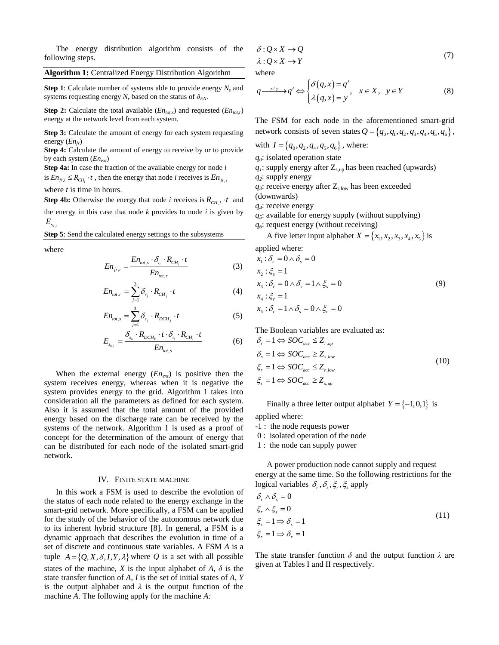The energy distribution algorithm consists of the following steps.

#### **Algorithm 1:** Centralized Energy Distribution Algorithm

**Step 1**: Calculate number of systems able to provide energy *N<sup>s</sup>* and systems requesting energy *N<sup>r</sup>* based on the status of *δEN*.

**Step 2:** Calculate the total available  $(En_{tot,s})$  and requested  $(En_{tot,r})$ energy at the network level from each system.

**Step 3:** Calculate the amount of energy for each system requesting energy  $(En<sub>fr</sub>)$ 

**Step 4:** Calculate the amount of energy to receive by or to provide by each system (*Enext*)

**Step 4a:** In case the fraction of the available energy for node *i*

is  $En_{fr,i} \leq R_{CH_i} \cdot t$ , then the energy that node *i* receives is  $En_{fr,i}$ 

where *t* is time in hours.

**Step 4b:** Otherwise the energy that node *i* receives is  $R_{CH,i} \cdot t$  and the energy in this case that node *k* provides to node *i* is given by  $E_{\overline{s_{k,i}}}$ 

**Step 5**: Send the calculated energy settings to the subsystems

where

$$
En_{fr,i} = \frac{En_{tot,s} \cdot \delta_{r_i} \cdot R_{CH_i} \cdot t}{En_{tot,r}}
$$
 (3)

$$
En_{tot,r} = \sum_{j=1}^{3} \delta_{r_j} \cdot R_{CH_j} \cdot t \tag{4}
$$

$$
En_{tot,s} = \sum_{j=1}^{3} \delta_{s_j} \cdot R_{DCH_j} \cdot t \tag{5}
$$

$$
E_{s_{k,i}} = \frac{\delta_{s_k} \cdot R_{DCH_k} \cdot t \cdot \delta_{r_i} \cdot R_{CH_i} \cdot t}{En_{tot,s}}
$$
(6)

When the external energy (*Enext*) is positive then the system receives energy, whereas when it is negative the system provides energy to the grid. Algorithm 1 takes into consideration all the parameters as defined for each system. Also it is assumed that the total amount of the provided energy based on the discharge rate can be received by the systems of the network. Algorithm 1 is used as a proof of concept for the determination of the amount of energy that can be distributed for each node of the isolated smart-grid network.

#### IV. FINITE STATE MACHINE

In this work a FSM is used to describe the evolution of the status of each node related to the energy exchange in the smart-grid network. More specifically, a FSM can be applied for the study of the behavior of the autonomous network due to its inherent hybrid structure [8]. In general, a FSM is a dynamic approach that describes the evolution in time of a set of discrete and continuous state variables. A FSM *A* is a tuple  $A = \{Q, X, \delta, I, Y, \lambda\}$  where Q is a set with all possible states of the machine, *X* is the input alphabet of *A*,  $\delta$  is the state transfer function of *A*, *I* is the set of initial states of *A*, *Y* is the output alphabet and  $\lambda$  is the output function of the machine *A*. The following apply for the machine *A:*

$$
\delta: Q \times X \to Q
$$
  

$$
\lambda: Q \times X \to Y
$$
 (7)

where

where  
\n
$$
q \xrightarrow{x/y} q' \Leftrightarrow \begin{cases} \delta(q, x) = q', & x \in X, \ y \in Y \end{cases}
$$
 (8)

The FSM for each node in the aforementioned smart-grid network consists of seven states  $Q = \{q_0, q_1, q_2, q_3, q_4, q_5, q_6\},\$ 

with  $I = \{q_0, q_2, q_4, q_5, q_6\}$ , where:

- *q0*: isolated operation state
- $q_i$ : supply energy after  $Z_{s,up}$  has been reached (upwards)
- *q2*: supply energy
- $q_3$ : receive energy after  $Z_{r,low}$  has been exceeded
- (downwards)
- *q4*: receive energy
- *q5*: available for energy supply (without supplying)
- *q6*: request energy (without receiving)

A five letter input alphabet 
$$
X = \{x_1, x_2, x_3, x_4, x_5\}
$$
 is

applied where:

$$
x_1 : \delta_r = 0 \land \delta_s = 0
$$
  
\n
$$
x_2 : \xi_s = 1
$$
  
\n
$$
x_3 : \delta_r = 0 \land \delta_s = 1 \land \xi_s = 0
$$
  
\n
$$
x_4 : \xi_r = 1
$$
  
\n
$$
x_5 : \delta_r = 1 \land \delta_s = 0 \land \xi_r = 0
$$
  
\n(9)

The Boolean variables are evaluated as:

$$
\delta_r = 1 \Leftrightarrow SOC_{acc} \le Z_{r,up}
$$
\n
$$
\delta_s = 1 \Leftrightarrow SOC_{acc} \ge Z_{s,low}
$$
\n
$$
\xi_r = 1 \Leftrightarrow SOC_{acc} \le Z_{r,low}
$$
\n
$$
\xi_s = 1 \Leftrightarrow SOC_{acc} \ge Z_{s,up}
$$
\n(10)

Finally a three letter output alphabet  $Y = \{-1, 0, 1\}$  is applied where:

- -1 : the node requests power
- 0 : isolated operation of the node
- 1 : the node can supply power

A power production node cannot supply and request energy at the same time. So the following restrictions for the logical variables  $\delta_r$ ,  $\delta_s$ ,  $\xi_r$ ,  $\xi_s$  apply

$$
\delta_r \wedge \delta_s = 0
$$
  
\n
$$
\xi_r \wedge \xi_s = 0
$$
  
\n
$$
\xi_s = 1 \Rightarrow \delta_s = 1
$$
  
\n
$$
\xi_r = 1 \Rightarrow \delta_r = 1
$$
\n(11)

The state transfer function  $\delta$  and the output function  $\lambda$  are given at Tables I and II respectively.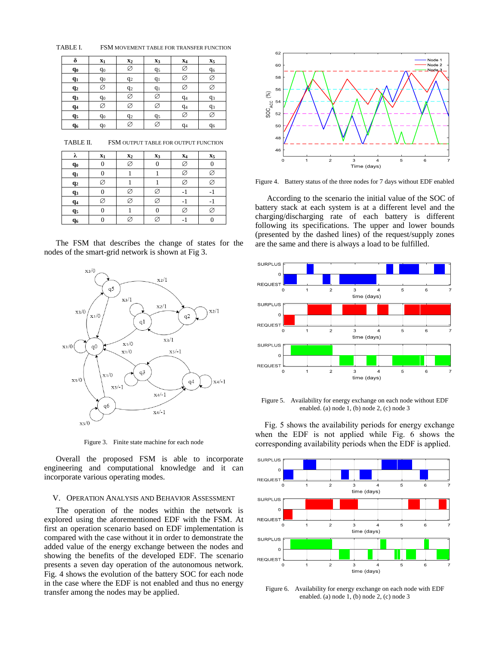| δ              | $\mathbf{x}_1$ | X <sub>2</sub> | $X_3$          | X4    | $X_5$          |
|----------------|----------------|----------------|----------------|-------|----------------|
| $q_0$          | q <sub>0</sub> | Ø              | q <sub>5</sub> | Ø     | $q_6$          |
| $q_1$          | q <sub>0</sub> | q <sub>2</sub> | $q_1$          | Ø     | Ø              |
| $q_2$          | Ø              | $q_2$          | $q_1$          | Ø     | Ø              |
| q <sub>3</sub> | q <sub>0</sub> | Ø              | Ø              | $q_4$ | q <sub>3</sub> |
| q <sub>4</sub> | Ø              | Ø              | Ø              | $q_4$ | q <sub>3</sub> |
| q <sub>5</sub> | q <sub>0</sub> | $q_2$          | q <sub>5</sub> | Ø     | Ø              |
| q <sub>6</sub> | $q_0$          |                |                | $q_4$ | $q_6$          |

TABLE I. FSM MOVEMENT TABLE FOR TRANSFER FUNCTION

| TABLE II. | FSM OUTPUT TABLE FOR OUTPUT FUNCTION |
|-----------|--------------------------------------|
|-----------|--------------------------------------|

| λ              | $\mathbf{x}_1$ | $\mathbf{x}_2$ | $X_3$ | $X_4$ | $X_5$ |
|----------------|----------------|----------------|-------|-------|-------|
| q <sub>0</sub> |                | Ø              |       | Ø     |       |
| $q_1$          |                |                |       | Ø     | Ø     |
| q <sub>2</sub> | Ø              |                |       | Ø     | Ø     |
| q3             |                |                | Ø     | - 1   |       |
| $q_4$          | Ø              |                | Ø     | - 1   | ۰.    |
| q <sub>5</sub> |                |                |       | Ø     | Ø     |
| $q_6$          |                |                |       |       |       |

The FSM that describes the change of states for the nodes of the smart-grid network is shown at Fig 3.



Figure 3. Finite state machine for each node

Overall the proposed FSM is able to incorporate engineering and computational knowledge and it can incorporate various operating modes.

#### V. OPERATION ANALYSIS AND BEHAVIOR ASSESSMENT

The operation of the nodes within the network is explored using the aforementioned EDF with the FSM. At first an operation scenario based on EDF implementation is compared with the case without it in order to demonstrate the added value of the energy exchange between the nodes and showing the benefits of the developed EDF. The scenario presents a seven day operation of the autonomous network. Fig. 4 shows the evolution of the battery SOC for each node in the case where the EDF is not enabled and thus no energy transfer among the nodes may be applied.



Figure 4. Battery status of the three nodes for 7 days without EDF enabled

According to the scenario the initial value of the SOC of battery stack at each system is at a different level and the charging/discharging rate of each battery is different following its specifications. The upper and lower bounds (presented by the dashed lines) of the request/supply zones are the same and there is always a load to be fulfilled.



Figure 5. Availability for energy exchange on each node without EDF enabled. (a) node 1, (b) node 2, (c) node 3

Fig. 5 shows the availability periods for energy exchange when the EDF is not applied while Fig. 6 shows the corresponding availability periods when the EDF is applied.



Figure 6. Availability for energy exchange on each node with EDF enabled. (a) node 1, (b) node 2, (c) node 3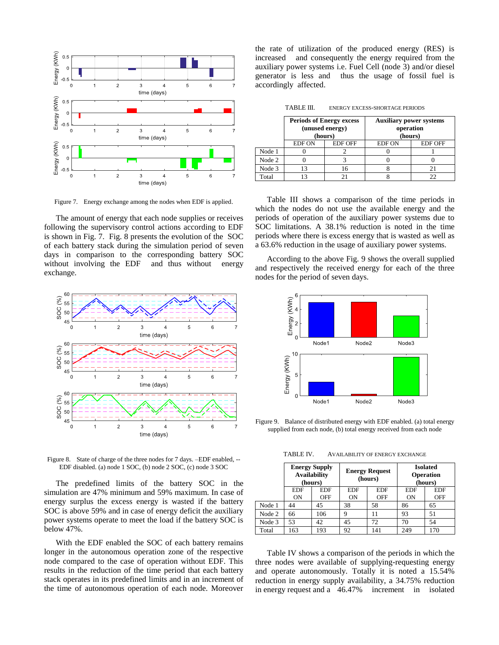

Figure 7. Energy exchange among the nodes when EDF is applied.

The amount of energy that each node supplies or receives following the supervisory control actions according to EDF is shown in Fig. 7. Fig. 8 presents the evolution of the SOC of each battery stack during the simulation period of seven days in comparison to the corresponding battery SOC without involving the EDF and thus without energy exchange.



Figure 8. State of charge of the three nodes for 7 days. –EDF enabled, -- EDF disabled. (a) node 1 SOC, (b) node 2 SOC, (c) node 3 SOC

The predefined limits of the battery SOC in the simulation are 47% minimum and 59% maximum. In case of energy surplus the excess energy is wasted if the battery SOC is above 59% and in case of energy deficit the auxiliary power systems operate to meet the load if the battery SOC is below 47%.

With the EDF enabled the SOC of each battery remains longer in the autonomous operation zone of the respective node compared to the case of operation without EDF. This results in the reduction of the time period that each battery stack operates in its predefined limits and in an increment of the time of autonomous operation of each node. Moreover

the rate of utilization of the produced energy (RES) is increased and consequently the energy required from the auxiliary power systems i.e. Fuel Cell (node 3) and/or diesel generator is less and thus the usage of fossil fuel is accordingly affected.

| TABLE III. |  | <b>ENERGY EXCESS-SHORTAGE PERIODS</b> |  |
|------------|--|---------------------------------------|--|
|            |  |                                       |  |

|        | <b>Periods of Energy excess</b><br>(unused energy)<br>(hours) |                | <b>Auxiliary power systems</b><br>operation<br>(hours) |                |  |
|--------|---------------------------------------------------------------|----------------|--------------------------------------------------------|----------------|--|
|        | <b>EDF ON</b>                                                 | <b>EDF OFF</b> |                                                        | <b>EDF OFF</b> |  |
| Node 1 |                                                               |                |                                                        |                |  |
| Node 2 |                                                               |                |                                                        |                |  |
| Node 3 | -3                                                            |                |                                                        |                |  |
| Total  |                                                               |                |                                                        | າາ             |  |

Table III shows a comparison of the time periods in which the nodes do not use the available energy and the periods of operation of the auxiliary power systems due to SOC limitations. A 38.1% reduction is noted in the time periods where there is excess energy that is wasted as well as a 63.6% reduction in the usage of auxiliary power systems.

According to the above Fig. 9 shows the overall supplied and respectively the received energy for each of the three nodes for the period of seven days.



Figure 9. Balance of distributed energy with EDF enabled. (a) total energy supplied from each node, (b) total energy received from each node

TABLE IV. AVAILABILITY OF ENERGY EXCHANGE

|        | <b>Energy Supply</b><br><b>Availability</b><br>(hours)<br>EDF<br><b>EDF</b> |            | <b>Energy Request</b><br>(hours) |            | <b>Isolated</b><br>Operation<br>(hours) |            |
|--------|-----------------------------------------------------------------------------|------------|----------------------------------|------------|-----------------------------------------|------------|
|        |                                                                             |            | EDF                              | <b>EDF</b> | EDF                                     | EDF        |
|        | <b>ON</b>                                                                   | <b>OFF</b> | ON                               | <b>OFF</b> | ON                                      | <b>OFF</b> |
| Node 1 | 44                                                                          | 45         | 38                               | 58         | 86                                      | 65         |
| Node 2 | 66                                                                          | 106        | 9                                | 11         | 93                                      | 51         |
| Node 3 | 53                                                                          | 42         | 45                               | 72         | 70                                      | 54         |
| Total  | 163                                                                         | 193        | 92                               | 141        | 249                                     | 170        |

Table IV shows a comparison of the periods in which the three nodes were available of supplying-requesting energy and operate autonomously. Totally it is noted a 15.54% reduction in energy supply availability, a 34.75% reduction in energy request and a 46.47% increment in isolated